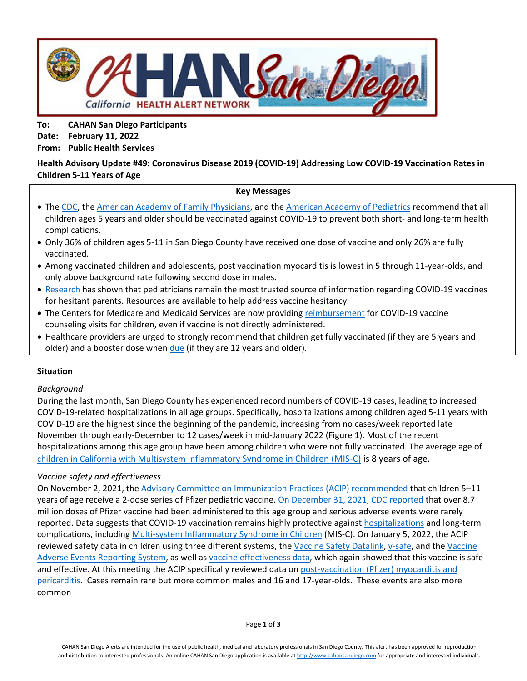

**To: CAHAN San Diego Participants Date: February 11, 2022 From: Public Health Services**

# **Health Advisory Update #49: Coronavirus Disease 2019 (COVID-19) Addressing Low COVID-19 Vaccination Rates in Children 5-11 Years of Age**

### **Key Messages**

- Th[e CDC,](https://www.cdc.gov/coronavirus/2019-ncov/vaccines/recommendations/children-teens.html) the [American Academy of Family Physicians,](https://www.aafp.org/family-physician/patient-care/current-hot-topics/recent-outbreaks/covid-19/covid-19-vaccine/children-and-adolescents.html) and the [American Academy of Pediatrics](https://publications.aap.org/pediatrics/article/149/1/e2021054332/183385/COVID-19-Vaccines-in-Children-and-Adolescents) recommend that all children ages 5 years and older should be vaccinated against COVID-19 to prevent both short- and long-term health complications.
- Only 36% of children ages 5-11 in San Diego County have received one dose of vaccine and only 26% are fully vaccinated.
- Among vaccinated children and adolescents, post vaccination myocarditis is lowest in 5 through 11-year-olds, and only above background rate following second dose in males.
- [Research](https://www.kff.org/coronavirus-covid-19/poll-finding/kff-covid-19-vaccine-monitor-winter-2021-update-on-parents-views-of-vaccines/#:%7E:text=As%20previous%20KFF%20research%20has,about%20the%20vaccines%20for%20children.) has shown that pediatricians remain the most trusted source of information regarding COVID-19 vaccines for hesitant parents. Resources are available to help address vaccine hesitancy.
- The Centers for Medicare and Medicaid Services are now providin[g reimbursement](https://www.cmadocs.org/newsroom/news/view/ArticleId/49605/Medi-Cal-to-cover-COVID-vaccine-counseling-by-health-care-providers) for COVID-19 vaccine counseling visits for children, even if vaccine is not directly administered.
- Healthcare providers are urged to strongly recommend that children get fully vaccinated (if they are 5 years and older) and a booster dose when [due](https://www.sandiegocounty.gov/content/sdc/hhsa/programs/phs/community_epidemiology/dc/2019-nCoV/vaccines/phases.html) (if they are 12 years and older).

### **Situation**

### *Background*

During the last month, San Diego County has experienced record numbers of COVID-19 cases, leading to increased COVID-19-related hospitalizations in all age groups. Specifically, hospitalizations among children aged 5-11 years with COVID-19 are the highest since the beginning of the pandemic, increasing from no cases/week reported late November through early-December to 12 cases/week in mid-January 2022 (Figure 1). Most of the recent hospitalizations among this age group have been among children who were not fully vaccinated. The average age of [children in California with Multisystem Inflammatory Syndrome in Children \(MIS-C\)](https://www.cdph.ca.gov/Programs/CID/DCDC/Pages/COVID-19/MIS-C-Data.aspx) is 8 years of age.

### *Vaccine safety and effectiveness*

On November 2, 2021, the [Advisory Committee on Immunization Practices \(ACIP\) recommended](https://www.cdc.gov/mmwr/volumes/70/wr/mm7045e1.htm) that children 5–11 years of age receive a 2-dose series of Pfizer pediatric vaccine. [On December 31, 2021, CDC reported](https://www.cdc.gov/mmwr/volumes/70/wr/mm705152a1.htm) that over 8.7 million doses of Pfizer vaccine had been administered to this age group and serious adverse events were rarely reported. Data suggests that COVID-19 vaccination remains highly protective against [hospitalizations](https://covid.cdc.gov/covid-data-tracker/#covidnet-hospitalizations-vaccination) and long-term complications, including [Multi-system Inflammatory Syndrome in Children](https://www.cdc.gov/mmwr/volumes/71/wr/mm7102e1.htm) (MIS-C). On January 5, 2022, the ACIP reviewed safety data in children using three different systems, the [Vaccine Safety Datalink,](https://www.cdc.gov/vaccines/acip/meetings/downloads/slides-2022-01-05/04-COVID-Klein-508.pdf) [v-safe,](https://www.cdc.gov/vaccines/acip/meetings/downloads/slides-2022-01-05/03-COVID-Hause-508.pdf) and the [Vaccine](https://www.cdc.gov/vaccines/acip/meetings/downloads/slides-2022-01-05/02-COVID-Su-508.pdf)  [Adverse Events Reporting System,](https://www.cdc.gov/vaccines/acip/meetings/downloads/slides-2022-01-05/02-COVID-Su-508.pdf) as well as [vaccine effectiveness data,](https://www.cdc.gov/vaccines/acip/meetings/downloads/slides-2022-01-05/06_COVID_Oliver_2022-01-05.pdf) which again showed that this vaccine is safe and effective. At this meeting the ACIP specifically reviewed data o[n post-vaccination \(Pfizer\) myocarditis and](https://www.cdc.gov/vaccines/acip/meetings/downloads/slides-2022-01-05/02-COVID-Su-508.pdf)  [pericarditis.](https://www.cdc.gov/vaccines/acip/meetings/downloads/slides-2022-01-05/02-COVID-Su-508.pdf) Cases remain rare but more common males and 16 and 17-year-olds. These events are also more common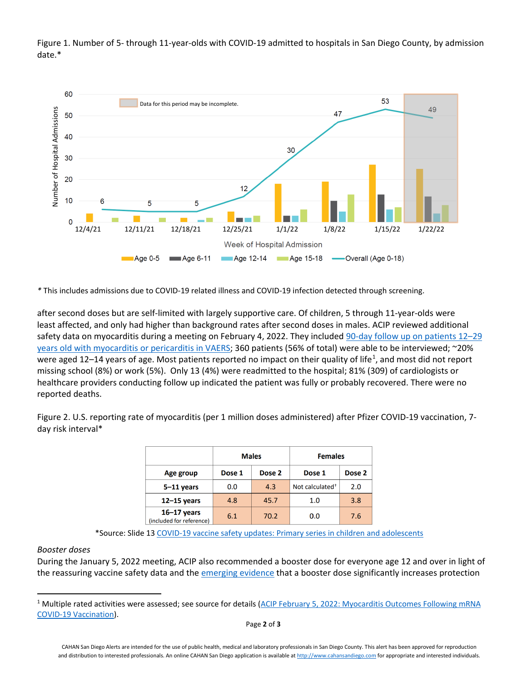



*\** This includes admissions due to COVID-19 related illness and COVID-19 infection detected through screening.

after second doses but are self-limited with largely supportive care. Of children, 5 through 11-year-olds were least affected, and only had higher than background rates after second doses in males. ACIP reviewed additional safety data on myocarditis during a meeting on February 4, 2022. They included [90-day follow up on patients 12–29](https://www.cdc.gov/vaccines/acip/meetings/downloads/slides-2022-02-04/04-COVID-Kracalic-508.pdf)  [years old with myocarditis or pericarditis in VAERS;](https://www.cdc.gov/vaccines/acip/meetings/downloads/slides-2022-02-04/04-COVID-Kracalic-508.pdf) 360 patients (56% of total) were able to be interviewed; ~20% were aged [1](#page-1-0)2–14 years of age. Most patients reported no impact on their quality of life<sup>1</sup>, and most did not report missing school (8%) or work (5%). Only 13 (4%) were readmitted to the hospital; 81% (309) of cardiologists or healthcare providers conducting follow up indicated the patient was fully or probably recovered. There were no reported deaths.

Figure 2. U.S. reporting rate of myocarditis (per 1 million doses administered) after Pfizer COVID-19 vaccination, 7 day risk interval\*

|                                             | <b>Males</b> |        | <b>Females</b>              |        |
|---------------------------------------------|--------------|--------|-----------------------------|--------|
| Age group                                   | Dose 1       | Dose 2 | Dose 1                      | Dose 2 |
| $5-11$ years                                | 0.0          | 4.3    | Not calculated <sup>+</sup> | 2.0    |
| $12-15$ years                               | 4.8          | 45.7   | 1.0                         | 3.8    |
| $16 - 17$ years<br>(included for reference) | 6.1          | 70.2   | 0.0                         | 7.6    |

\*Source: Slide 1[3 COVID-19 vaccine safety updates: Primary series in children and adolescents](https://www.cdc.gov/vaccines/acip/meetings/downloads/slides-2022-01-05/02-COVID-Su-508.pdf)

### *Booster doses*

During the January 5, 2022 meeting, ACIP also recommended a booster dose for everyone age 12 and over in light of the reassuring vaccine safety data and the [emerging evidence](https://www.cdc.gov/mmwr/volumes/71/wr/mm7104e2.htm?s_cid=mm7104e2_w) that a booster dose significantly increases protection

<span id="page-1-0"></span><sup>&</sup>lt;sup>1</sup> Multiple rated activities were assessed; see source for details (ACIP February 5, 2022: Myocarditis Outcomes Following mRNA [COVID-19 Vaccination\)](https://www.cdc.gov/vaccines/acip/meetings/downloads/slides-2022-02-04/04-COVID-Kracalic-508.pdf).